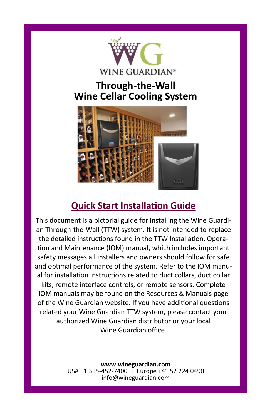

# **Through-the-Wall Wine Cellar Cooling System**



# **Quick Start Installation Guide**

This document is a pictorial guide for installing the Wine Guardian Through-the-Wall (TTW) system. It is not intended to replace the detailed instructions found in the TTW Installation, Operation and Maintenance (IOM) manual, which includes important safety messages all installers and owners should follow for safe and optimal performance of the system. Refer to the IOM manual for installation instructions related to duct collars, duct collar kits, remote interface controls, or remote sensors. Complete IOM manuals may be found on the Resources & Manuals page of the Wine Guardian website. If you have additional questions related your Wine Guardian TTW system, please contact your authorized Wine Guardian distributor or your local Wine Guardian office.

> **www.wineguardian.com** USA +1 315-452-7400 | Europe +41 52 224 0490 info@wineguardian.com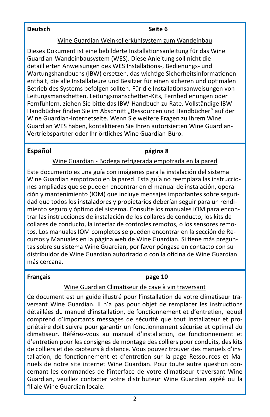#### **Deutsch Seite 6**

#### Wine Guardian Weinkellerkühlsystem zum Wandeinbau

Dieses Dokument ist eine bebilderte Installationsanleitung für das Wine Guardian-Wandeinbausystem (WES). Diese Anleitung soll nicht die detaillierten Anweisungen des WES Installations-, Bedienungs- und Wartungshandbuchs (IBW) ersetzen, das wichtige Sicherheitsinformationen enthält, die alle Installateure und Besitzer für einen sicheren und optimalen Betrieb des Systems befolgen sollten. Für die Installationsanweisungen von Leitungsmanschetten, Leitungsmanschetten-Kits, Fernbedienungen oder Fernfühlern, ziehen Sie bitte das IBW-Handbuch zu Rate. Vollständige IBW-Handbücher finden Sie im Abschnitt "Ressourcen und Handbücher" auf der Wine Guardian-Internetseite. Wenn Sie weitere Fragen zu Ihrem Wine Guardian WES haben, kontaktieren Sie Ihren autorisierten Wine Guardian-Vertriebspartner oder Ihr örtliches Wine Guardian-Büro.

#### **Español página 8**

#### Wine Guardian - Bodega refrigerada empotrada en la pared

Este documento es una guía con imágenes para la instalación del sistema Wine Guardian empotrado en la pared. Esta guía no reemplaza las instrucciones ampliadas que se pueden encontrar en el manual de instalación, operación y mantenimiento (IOM) que incluye mensajes importantes sobre seguridad que todos los instaladores y propietarios deberían seguir para un rendimiento seguro y óptimo del sistema. Consulte los manuales IOM para encontrar las instrucciones de instalación de los collares de conducto, los kits de collares de conducto, la interfaz de controles remotos, o los sensores remotos. Los manuales IOM completos se pueden encontrar en la sección de Recursos y Manuales en la página web de Wine Guardian. Si tiene más preguntas sobre su sistema Wine Guardian, por favor póngase en contacto con su distribuidor de Wine Guardian autorizado o con la oficina de Wine Guardian más cercana.

#### **Français page 10**

#### Wine Guardian Climatiseur de cave à vin traversant

Ce document est un guide illustré pour l'installation de votre climatiseur traversant Wine Guardian. Il n'a pas pour objet de remplacer les instructions détaillées du manuel d'installation, de fonctionnement et d'entretien, lequel comprend d'importants messages de sécurité que tout installateur et propriétaire doit suivre pour garantir un fonctionnement sécurisé et optimal du climatiseur. Référez-vous au manuel d'installation, de fonctionnement et d'entretien pour les consignes de montage des colliers pour conduits, des kits de colliers et des capteurs à distance. Vous pouvez trouver des manuels d'installation, de fonctionnement et d'entretien sur la page Ressources et Manuels de notre site internet Wine Guardian. Pour toute autre question concernant les commandes de l'interface de votre climatiseur traversant Wine Guardian, veuillez contacter votre distributeur Wine Guardian agréé ou la filiale Wine Guardian locale.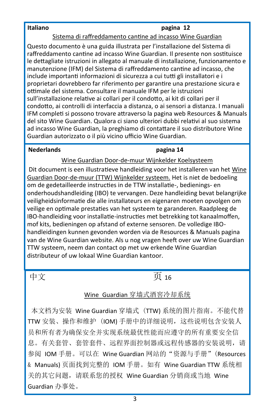#### **Italiano pagina 12**

#### Sistema di raffreddamento cantine ad incasso Wine Guardian

Questo documento è una guida illustrata per l'installazione del Sistema di raffreddamento cantine ad incasso Wine Guardian. Il presente non sostituisce le dettagliate istruzioni in allegato al manuale di installazione, funzionamento e manutenzione (IFM) del Sistema di raffreddamento cantine ad incasso, che include importanti informazioni di sicurezza a cui tutti gli installatori e i proprietari dovrebbero far riferimento per garantire una prestazione sicura e ottimale del sistema. Consultare il manuale IFM per le istruzioni sull'installazione relative ai collari per il condotto, ai kit di collari per il condotto, ai controlli di interfaccia a distanza, o ai sensori a distanza. I manuali IFM completi si possono trovare attraverso la pagina web Resources & Manuals del sito Wine Guardian. Qualora ci siano ulteriori dubbi relativi al suo sistema ad incasso Wine Guardian, la preghiamo di contattare il suo distributore Wine Guardian autorizzato o il più vicino ufficio Wine Guardian.

#### **Nederlands pagina 14**

Wine Guardian Door-de-muur Wijnkelder Koelsysteem

Dit document is een illustratieve handleiding voor het installeren van het Wine Guardian Door-de-muur (TTW) Wijnkelder systeem. Het is niet de bedoeling om de gedetailleerde instructies in de TTW installatie-, bedienings- en onderhoudshandleiding (IBO) te vervangen. Deze handleiding bevat belangrijke veiligheidsinformatie die alle installateurs en eigenaren moeten opvolgen om veilige en optimale prestaties van het systeem te garanderen. Raadpleeg de IBO-handleiding voor installatie-instructies met betrekking tot kanaalmoffen, mof kits, bedieningen op afstand of externe sensoren. De volledige IBOhandleidingen kunnen gevonden worden via de Resources & Manuals pagina van de Wine Guardian website. Als u nog vragen heeft over uw Wine Guardian TTW systeem, neem dan contact op met uw erkende Wine Guardian distributeur of uw lokaal Wine Guardian kantoor.

# 中文 页 16

#### Wine Guardian 穿墙式酒窖冷却系统

本文档为安装 Wine Guardian 穿墙式 (TTW) 系统的图片指南。不能代替 TTW 安装、操作和维护 (IOM) 手册中的详细说明,这些说明包含安装人 员和所有者为确保安全并实现系统最优性能而应遵守的所有重要安全信 息。有关套管、套管套件、远程界面控制器或远程传感器的安装说明,请 参阅 IOM 手册。可以在 Wine Guardian 网站的"资源与手册"(Resources & Manuals) 页面找到完整的 IOM 手册。如有 Wine Guardian TTW 系统相 关的其它问题,请联系您的授权 Wine Guardian 分销商或当地 Wine Guardian 办事处。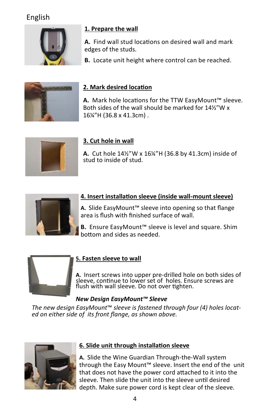# English



#### **1. Prepare the wall**

**A.** Find wall stud locations on desired wall and mark edges of the studs.

**B.** Locate unit height where control can be reached.



### **2. Mark desired location**

**A.** Mark hole locations for the TTW EasyMount™ sleeve. Both sides of the wall should be marked for 14½"W x 16¼"H (36.8 x 41.3cm) .



## **3. Cut hole in wall**

**A.** Cut hole 14½"W x 16¼"H (36.8 by 41.3cm) inside of stud to inside of stud.



#### **4. Insert installation sleeve (inside wall-mount sleeve)**

**A.** Slide EasyMount™ sleeve into opening so that flange area is flush with finished surface of wall.

**B.** Ensure EasyMount™ sleeve is level and square. Shim bottom and sides as needed.



#### **5. Fasten sleeve to wall**

**A.** Insert screws into upper pre-drilled hole on both sides of sleeve, continue to lower set of holes. Ensure screws are flush with wall sleeve. Do not over tighten.

#### *New Design EasyMount™ Sleeve*

*The new design EasyMount*™ *sleeve is fastened through four (4) holes located on either side of its front flange, as shown above.*



### **6. Slide unit through installation sleeve**

**A.** Slide the Wine Guardian Through-the-Wall system through the Easy Mount™ sleeve. Insert the end of the unit that does not have the power cord attached to it into the sleeve. Then slide the unit into the sleeve until desired depth. Make sure power cord is kept clear of the sleeve.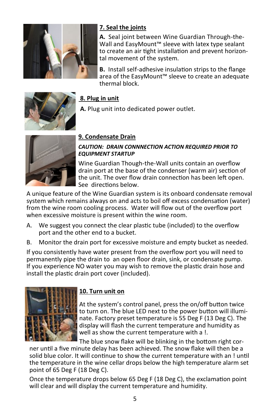

### **7. Seal the joints**

**A.** Seal joint between Wine Guardian Through-the-Wall and EasyMount™ sleeve with latex type sealant to create an air tight installation and prevent horizontal movement of the system.

**B.** Install self-adhesive insulation strips to the flange area of the EasyMount™ sleeve to create an adequate thermal block.



#### **8. Plug in unit**

**A.** Plug unit into dedicated power outlet.



#### **9. Condensate Drain**

#### *CAUTION: DRAIN CONNNECTION ACTION REQUIRED PRIOR TO EQUIPMENT STARTUP*

Wine Guardian Though-the-Wall units contain an overflow drain port at the base of the condenser (warm air) section of the unit. The over flow drain connection has been left open. See directions below.

A unique feature of the Wine Guardian system is its onboard condensate removal system which remains always on and acts to boil off excess condensation (water) from the wine room cooling process. Water will flow out of the overflow port when excessive moisture is present within the wine room.

- A. We suggest you connect the clear plastic tube (included) to the overflow port and the other end to a bucket.
- B. Monitor the drain port for excessive moisture and empty bucket as needed.

If you consistently have water present from the overflow port you will need to permanently pipe the drain to an open floor drain, sink, or condensate pump. If you experience NO water you may wish to remove the plastic drain hose and install the plastic drain port cover (included).



#### **10. Turn unit on**

At the system's control panel, press the on/off button twice to turn on. The blue LED next to the power button will illuminate. Factory preset temperature is 55 Deg F (13 Deg C). The display will flash the current temperature and humidity as well as show the current temperature with a !.

The blue snow flake will be blinking in the bottom right cor-

ner until a five minute delay has been achieved. The snow flake will then be a solid blue color. It will continue to show the current temperature with an ! until the temperature in the wine cellar drops below the high temperature alarm set point of 65 Deg F (18 Deg C).

Once the temperature drops below 65 Deg F (18 Deg C), the exclamation point will clear and will display the current temperature and humidity.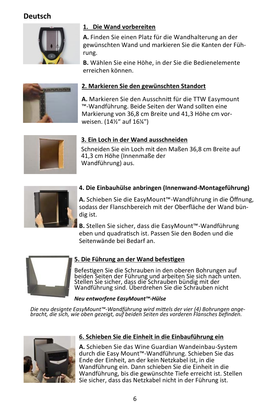# **Deutsch**



#### **1. Die Wand vorbereiten**

**A.** Finden Sie einen Platz für die Wandhalterung an der gewünschten Wand und markieren Sie die Kanten der Führung.

**B.** Wählen Sie eine Höhe, in der Sie die Bedienelemente erreichen können.



#### **2. Markieren Sie den gewünschten Standort**

**A.** Markieren Sie den Ausschnitt für die TTW Easymount ™-Wandführung. Beide Seiten der Wand sollten eine Markierung von 36,8 cm Breite und 41,3 Höhe cm vorweisen. (14½" auf 16¼")



#### **3. Ein Loch in der Wand ausschneiden**

Schneiden Sie ein Loch mit den Maßen 36,8 cm Breite auf 41,3 cm Höhe (Innenmaße der Wandführung) aus.



#### **4. Die Einbauhülse anbringen (Innenwand-Montageführung)**

**A.** Schieben Sie die EasyMount™-Wandführung in die Öffnung, sodass der Flanschbereich mit der Oberfläche der Wand bündig ist.

**B.** Stellen Sie sicher, dass die EasyMount™-Wandführung eben und quadratisch ist. Passen Sie den Boden und die Seitenwände bei Bedarf an.



#### **5. Die Führung an der Wand befestigen**

Befestigen Sie die Schrauben in den oberen Bohrungen auf beiden Seiten der Führung und arbeiten Sie sich nach unten. Stellen Sie sicher, dass die Schrauben bündig mit der Wandführung sind. Überdrehen Sie die Schrauben nicht

#### *Neu entworfene EasyMount™-Hülse*

*Die neu designte EasyMount™-Wandführung wird mittels der vier (4) Bohrungen ange- bracht, die sich, wie oben gezeigt, auf beiden Seiten des vorderen Flansches befinden.* 



#### **6. Schieben Sie die Einheit in die Einbauführung ein**

**A.** Schieben Sie das Wine Guardian Wandeinbau-System durch die Easy Mount™-Wandführung. Schieben Sie das Ende der Einheit, an der kein Netzkabel ist, in die Wandführung ein. Dann schieben Sie die Einheit in die Wandführung, bis die gewünschte Tiefe erreicht ist. Stellen Sie sicher, dass das Netzkabel nicht in der Führung ist.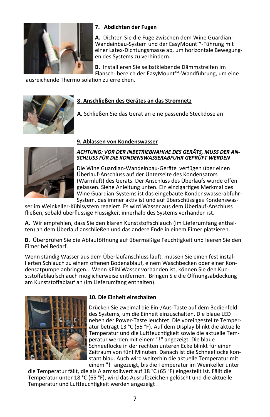

#### **7. Abdichten der Fugen**

**A.** Dichten Sie die Fuge zwischen dem Wine Guardian-Wandeinbau-System und der EasyMount™-Führung mit einer Latex-Dichtungsmasse ab, um horizontale Bewegungen des Systems zu verhindern.

**B.** Installieren Sie selbstklebende Dämmstreifen im Flansch- bereich der EasyMount™-Wandführung, um eine

ausreichende Thermoisolation zu erreichen.



#### **8. Anschließen des Gerätes an das Stromnetz**

**A.** Schließen Sie das Gerät an eine passende Steckdose an

#### **9. Ablassen von Kondenswasser**



#### *ACHTUNG: VOR DER INBETRIEBNAHME DES GERÄTS, MUSS DER AN-SCHLUSS FÜR DIE KONDENSWASSERABFUHR GEPRÜFT WERDEN*

Die Wine Guardian-Wandeinbau-Geräte verfügen über einen Überlauf-Anschluss auf der Unterseite des Kondensators (Warmluft) des Geräts. Der Anschluss des Überlaufs wurde offen gelassen. Siehe Anleitung unten. Ein einzigartiges Merkmal des Wine Guardian-Systems ist das eingebaute Kondenswasserabfuhr-System, das immer aktiv ist und auf überschüssiges Kondenswas-

ser im Weinkeller-Kühlsystem reagiert. Es wird Wasser aus dem Überlauf-Anschluss fließen, sobald überflüssige Flüssigkeit innerhalb des Systems vorhanden ist.

**A.** Wir empfehlen, dass Sie den klaren Kunststoffschlauch (im Lieferumfang enthalten) an dem Überlauf anschließen und das andere Ende in einem Eimer platzieren.

**B.** Überprüfen Sie die Ablauföffnung auf übermäßige Feuchtigkeit und leeren Sie den Eimer bei Bedarf.

Wenn ständig Wasser aus dem Überlaufanschluss läuft, müssen Sie einen fest installierten Schlauch zu einem offenen Bodenablauf, einem Waschbecken oder einer Kondensatpumpe anbringen.. Wenn KEIN Wasser vorhanden ist, können Sie den Kunststoffablaufschlauch möglicherweise entfernen. Bringen Sie die Öffnungsabdeckung am Kunststoffablauf an (im Lieferumfang enthalten).



#### **10. Die Einheit einschalten**

Drücken Sie zweimal die Ein-/Aus-Taste auf dem Bedienfeld des Systems, um die Einheit einzuschalten. Die blaue LED neben der Power-Taste leuchtet. Die voreingestellte Temperatur beträgt 13 °C (55 °F). Auf dem Display blinkt die aktuelle Temperatur und die Luftfeuchtigkeit sowie die aktuelle Temperatur werden mit einem "!" angezeigt. Die blaue Schneeflocke in der rechten unteren Ecke blinkt für einen Zeitraum von fünf Minuten. Danach ist die Schneeflocke konstant blau. Auch wird weiterhin die aktuelle Temperatur mit einem "!" angezeigt, bis die Temperatur im Weinkeller unter

die Temperatur fällt, die als Alarmsollwert auf 18 °C (65 °F) eingestellt ist. Fällt die Temperatur unter 18 °C (65 °F), wird das Ausrufezeichen gelöscht und die aktuelle Temperatur und Luftfeuchtigkeit werden angezeigt .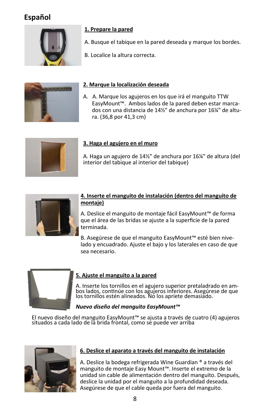# **Español**



#### **1. Prepare la pared**

- A. Busque el tabique en la pared deseada y marque los bordes.
- B. Localice la altura correcta.



#### **2. Marque la localización deseada**

A. A. Marque los agujeros en los que irá el manguito TTW EasyMount™. Ambos lados de la pared deben estar marcados con una distancia de 14½" de anchura por 16¼" de altura. (36,8 por 41,3 cm)



#### **3. Haga el agujero en el muro**

A. Haga un agujero de 14½" de anchura por 16¼" de altura (del interior del tabique al interior del tabique)



#### **4. Inserte el manguito de instalación (dentro del manguito de montaje)**

A. Deslice el manguito de montaje fácil EasyMount™ de forma que el área de las bridas se ajuste a la superficie de la pared terminada.

B. Asegúrese de que el manguito EasyMount™ esté bien nivelado y encuadrado. Ajuste el bajo y los laterales en caso de que sea necesario.



#### **5. Ajuste el manguito a la pared**

A. Inserte los tornillos en el agujero superior pretaladrado en ambos lados, continúe con los agujeros inferiores. Asegúrese de que los tornillos estén alineados. No los apriete demasiado.

#### *Nuevo diseño del manguito EasyMount™*

El nuevo diseño del manguito EasyMount™ se ajusta a través de cuatro (4) agujeros situados a cada lado de la brida frontal, como se puede ver arriba



#### **6. Deslice el aparato a través del manguito de instalación**

A. Deslice la bodega refrigerada Wine Guardian ® a través del manguito de montaje Easy Mount™. Inserte el extremo de la unidad sin cable de alimentación dentro del manguito. Después, deslice la unidad por el manguito a la profundidad deseada. Asegúrese de que el cable queda por fuera del manguito.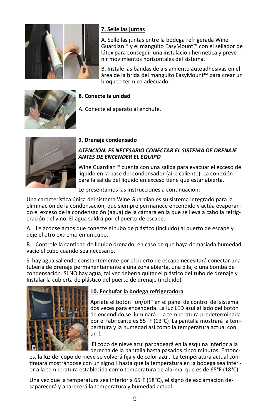

#### **7. Selle las juntas**

A. Selle las juntas entre la bodega refrigerada Wine Guardian ® y el manguito EasyMount™ con el sellador de látex para conseguir una instalación hermética y prevenir movimientos horizontales del sistema.

B. Instale las bandas de aislamiento autoadhesivas en el área de la brida del manguito EasyMount™ para crear un bloqueo térmico adecuado.



#### **8. Conecte la unidad**

A. Conecte el aparato al enchufe.



#### **9. Drenaje condensado**

#### *ATENCIÓN: ES NECESARIO CONECTAR EL SISTEMA DE DRENAJE ANTES DE ENCENDER EL EQUIPO*

Wine Guardian ® cuenta con una salida para evacuar el exceso de líquido en la base del condensador (aire caliente). La conexión para la salida del líquido en exceso tiene que estar abierta.

Le presentamos las instrucciones a continuación:

Una característica única del sistema Wine Guardian es su sistema integrado para la eliminación de la condensación, que siempre permanece encendido y actúa evaporando el exceso de la condensación (agua) de la cámara en la que se lleva a cabo la refrigeración del vino. El agua saldrá por el puerto de escape.

A. Le aconsejamos que conecte el tubo de plástico (incluido) al puerto de escape y deje el otro extremo en un cubo.

B. Controle la cantidad de liquido drenado, en caso de que haya demasiada humedad, vacíe el cubo cuando sea necesario.

Si hay agua saliendo constantemente por el puerto de escape necesitará conectar una tubería de drenaje permanentemente a una zona abierta, una pila, o una bomba de condensación. Si NO hay agua, tal vez debería quitar el plástico del tubo de drenaje y Instalar la cubierta de plástico del puerto de drenaje (incluido)



#### **10. Enchufar la bodega refrigeradora**

Apriete el botón "on/off" en el panel de control del sistema dos veces para encenderla. La luz LED azul al lado del botón de encendido se iluminará. La temperatura predeterminada por el fabricante es 55 °F (13°C) La pantalla mostrará la temperatura y la humedad así como la temperatura actual con un !.

El copo de nieve azul parpadeará en la esquina inferior a la derecha de la pantalla hasta pasados cinco minutos. Entonc-

es, la luz del copo de nieve se volverá fija y de color azul. La temperatura actual continuará mostrándose con un signo ! hasta que la temperatura en la bodega sea inferior a la temperatura establecida como temperatura de alarma, que es de 65°F (18°C)

Una vez que la temperatura sea inferior a 65°F (18°C), el signo de exclamación desaparecerá y aparecerá la temperatura y humedad actual.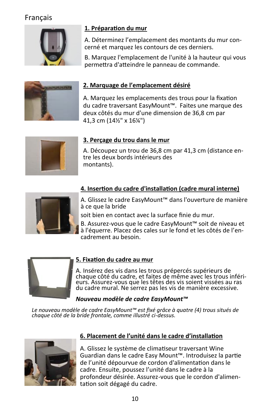# Français



#### **1. Préparation du mur**

A. Déterminez l'emplacement des montants du mur concerné et marquez les contours de ces derniers.

B. Marquez l'emplacement de l'unité à la hauteur qui vous permettra d'atteindre le panneau de commande.



#### **2. Marquage de l'emplacement désiré**

A. Marquez les emplacements des trous pour la fixation du cadre traversant EasyMount™. Faites une marque des deux côtés du mur d'une dimension de 36,8 cm par 41,3 cm (14½" x 16¼")



#### **3. Perçage du trou dans le mur**

A. Découpez un trou de 36,8 cm par 41,3 cm (distance entre les deux bords intérieurs des montants).



### **4. Insertion du cadre d'installation (cadre mural interne)**

A. Glissez le cadre EasyMount™ dans l'ouverture de manière à ce que la bride

soit bien en contact avec la surface finie du mur.

B. Assurez-vous que le cadre EasyMount™ soit de niveau et à l'équerre. Placez des cales sur le fond et les côtés de l'encadrement au besoin.



#### **5. Fixation du cadre au mur**

A. Insérez des vis dans les trous prépercés supérieurs de chaque côté du cadre, et faites de même avec les trous inféridu cadre mural. Ne serrez pas les vis de manière excessive.

#### *Nouveau modèle de cadre EasyMount™*

*Le nouveau modèle de cadre EasyMount™ est fixé grâce à quatre (4) trous situés de chaque côté de la bride frontale, comme illustré ci-dessus.* 



#### **6. Placement de l'unité dans le cadre d'installation**

A. Glissez le système de climatiseur traversant Wine Guardian dans le cadre Easy Mount™. Introduisez la partie de l'unité dépourvue de cordon d'alimentation dans le cadre. Ensuite, poussez l'unité dans le cadre à la profondeur désirée. Assurez-vous que le cordon d'alimentation soit dégagé du cadre.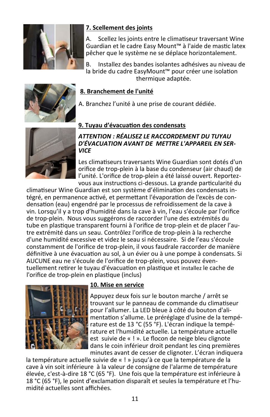

#### **7. Scellement des joints**

A. Scellez les joints entre le climatiseur traversant Wine Guardian et le cadre Easy Mount™ à l'aide de mastic latex pêcher que le système ne se déplace horizontalement.

B. Installez des bandes isolantes adhésives au niveau de la bride du cadre EasyMount™ pour créer une isolation thermique adaptée.

#### **8. Branchement de l'unité**

A. Branchez l'unité à une prise de courant dédiée.



### **9. Tuyau d'évacuation des condensats**

#### *ATTENTION : RÉALISEZ LE RACCORDEMENT DU TUYAU D'ÉVACUATION AVANT DE METTRE L'APPAREIL EN SER-VICE*

Les climatiseurs traversants Wine Guardian sont dotés d'un orifice de trop-plein à la base du condenseur (air chaud) de l'unité. L'orifice de trop-plein a été laissé ouvert. Reportezvous aux instructions ci-dessous. La grande particularité du

climatiseur Wine Guardian est son système d'élimination des condensats intégré, en permanence activé, et permettant l'évaporation de l'excès de condensation (eau) engendré par le processus de refroidissement de la cave à vin. Lorsqu'il y a trop d'humidité dans la cave à vin, l'eau s'écoule par l'orifice de trop-plein. Nous vous suggérons de raccorder l'une des extrémités du tube en plastique transparent fourni à l'orifice de trop-plein et de placer l'autre extrémité dans un seau. Contrôlez l'orifice de trop-plein à la recherche d'une humidité excessive et videz le seau si nécessaire. Si de l'eau s'écoule constamment de l'orifice de trop-plein, il vous faudrale raccorder de manière définitive à une évacuation au sol, à un évier ou à une pompe à condensats. Si AUCUNE eau ne s'écoule de l'orifice de trop-plein, vous pouvez éventuellement retirer le tuyau d'évacuation en plastique et installez le cache de l'orifice de trop-plein en plastique (inclus)



#### **10. Mise en service**

Appuyez deux fois sur le bouton marche / arrêt se trouvant sur le panneau de commande du climatiseur pour l'allumer. La LED bleue à côté du bouton d'alimentation s'allume. Le préréglage d'usine de la température est de 13 °C (55 °F). L'écran indique la température et l'humidité actuelle. La température actuelle est suivie de « ! ». Le flocon de neige bleu clignote dans le coin inférieur droit pendant les cinq premières minutes avant de cesser de clignoter. L'écran indiquera

la température actuelle suivie de « ! » jusqu'à ce que la température de la cave à vin soit inférieure à la valeur de consigne de l'alarme de température élevée, c'est-à-dire 18 °C (65 °F). Une fois que la température est inférieure à 18 °C (65 °F), le point d'exclamation disparaît et seules la température et l'humidité actuelles sont affichées.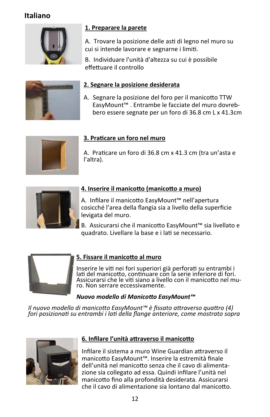# **Italiano**



### **1. Preparare la parete**

A. Trovare la posizione delle asti di legno nel muro su cui si intende lavorare e segnarne i limiti.

B. Individuare l'unità d'altezza su cui è possibile effettuare il controllo



#### **2. Segnare la posizione desiderata**

A. Segnare la posizione del foro per il manicotto TTW EasyMount™ . Entrambe le facciate del muro dovrebbero essere segnate per un foro di 36.8 cm L x 41.3cm



#### **3. Praticare un foro nel muro**

A. Praticare un foro di 36.8 cm x 41.3 cm (tra un'asta e l'altra).



### **4. Inserire il manicotto (manicotto a muro)**

A. Infilare il manicotto EasyMount™ nell'apertura cosicché l'area della flangia sia a livello della superficie levigata del muro.

B. Assicurarsi che il manicotto EasyMount™ sia livellato e quadrato. Livellare la base e i lati se necessario.



#### **5. Fissare il manicotto al muro**

Inserire le viti nei fori superiori già perforati su entrambi i lati del manicotto, continuare con la serie inferiore di fori. Assicurarsi che le viti siano a livello con il manicotto nel muro. Non serrare eccessivamente.

#### *Nuovo modello di Manicotto EasyMount™*

*Il nuovo modello di manicotto EasyMount™ è fissato attraverso quattro (4) fori posizionati su entrambi i lati della flange anteriore, come mostrato sopra*



### **6. Infilare l'unità attraverso il manicotto**

Infilare il sistema a muro Wine Guardian attraverso il manicotto EasyMount™. Inserire la estremità finale dell'unità nel manicotto senza che il cavo di alimentazione sia collegato ad essa. Quindi infilare l'unità nel manicotto fino alla profondità desiderata. Assicurarsi che il cavo di alimentazione sia lontano dal manicotto.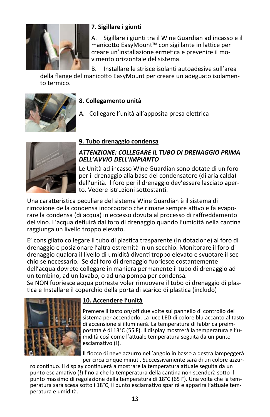

#### **7. Sigillare i giunti**

A. Sigillare i giunti tra il Wine Guardian ad incasso e il manicotto EasyMount™ con sigillante in lattice per creare un'installazione ermetica e prevenire il movimento orizzontale del sistema.

B. Installare le strisce isolanti autoadesive sull'area

della flange del manicotto EasyMount per creare un adeguato isolamento termico.



#### **8. Collegamento unità**

A. Collegare l'unità all'apposita presa elettrica



#### **9. Tubo drenaggio condensa**

#### *ATTENZIONE: COLLEGARE IL TUBO DI DRENAGGIO PRIMA DELL'AVVIO DELL'IMPIANTO*

Le Unità ad incasso Wine Guardian sono dotate di un foro per il drenaggio alla base del condensatore (di aria calda) dell'unità. Il foro per il drenaggio dev'essere lasciato aperto. Vedere istruzioni sottostanti.

Una caratteristica peculiare del sistema Wine Guardian è il sistema di rimozione della condensa incorporato che rimane sempre attivo e fa evaporare la condensa (di acqua) in eccesso dovuta al processo di raffreddamento del vino. L'acqua defluirà dal foro di drenaggio quando l'umidità nella cantina raggiunga un livello troppo elevato.

E' consigliato collegare il tubo di plastica trasparente (in dotazione) al foro di drenaggio e posizionare l'altra estremità in un secchio. Monitorare il foro di drenaggio qualora il livello di umidità diventi troppo elevato e svuotare il secchio se necessario. Se dal foro di drenaggio fuoriesce costantemente dell'acqua dovrete collegare in maniera permanente il tubo di drenaggio ad un tombino, ad un lavabo, o ad una pompa per condensa.

Se NON fuoriesce acqua potreste voler rimuovere il tubo di drenaggio di plastica e Installare il coperchio della porta di scarico di plastica (includo)



#### **10. Accendere l'unità**

Premere il tasto on/off due volte sul pannello di controllo del sistema per accenderlo. La luce LED di colore blu accanto al tasto di accensione si illuminerà. La temperatura di fabbrica preimpostata è di 13°C (55 F). Il display mostrerà la temperatura e l'umidità così come l'attuale temperatura seguita da un punto esclamativo (!).

Il fiocco di neve azzurro nell'angolo in basso a destra lampeggerà per circa cinque minuti. Successivamente sarà di un colore azzur-

ro continuo. Il display continuerà a mostrare la temperatura attuale seguita da un punto esclamativo (!) fino a che la temperatura della cantina non scenderà sotto il punto massimo di regolazione della temperatura di 18°C (65 F). Una volta che la temperatura sarà scesa sotto i 18°C, il punto esclamativo sparirà e apparirà l'attuale temperatura e umidità.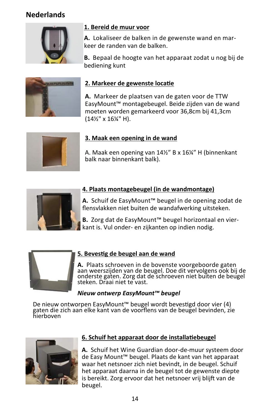# **Nederlands**



#### **1. Bereid de muur voor**

**A.** Lokaliseer de balken in de gewenste wand en markeer de randen van de balken.

**B.** Bepaal de hoogte van het apparaat zodat u nog bij de bediening kunt



#### **2. Markeer de gewenste locatie**

**A.** Markeer de plaatsen van de gaten voor de TTW EasyMount™ montagebeugel. Beide zijden van de wand moeten worden gemarkeerd voor 36,8cm bij 41,3cm (14½" x 16¼" H).



#### **3. Maak een opening in de wand**

A. Maak een opening van 14½" B x 16¼" H (binnenkant balk naar binnenkant balk).



#### **4. Plaats montagebeugel (in de wandmontage)**

**A.** Schuif de EasyMount™ beugel in de opening zodat de flensvlakken niet buiten de wandafwerking uitsteken.

**B.** Zorg dat de EasyMount™ beugel horizontaal en vierkant is. Vul onder- en zijkanten op indien nodig.



#### **5. Bevestig de beugel aan de wand**

**A.** Plaats schroeven in de bovenste voorgeboorde gaten<br>aan weerszijden van de beugel. Doe dit vervolgens ook bij de onderste gaten. Zorg dat de schroeven niet buiten de beugel steken. Draai niet te vast.

#### *Nieuw ontwerp EasyMount™ beugel*

De nieuw ontworpen EasyMount™ beugel wordt bevestigd door vier (4) gaten die zich aan elke kant van de voorflens van de beugel bevinden, zie hierboven



### **6. Schuif het apparaat door de installatiebeugel**

**A.** Schuif het Wine Guardian door-de-muur systeem door de Easy Mount™ beugel. Plaats de kant van het apparaat waar het netsnoer zich niet bevindt, in de beugel. Schuif het apparaat daarna in de beugel tot de gewenste diepte is bereikt. Zorg ervoor dat het netsnoer vrij blijft van de beugel.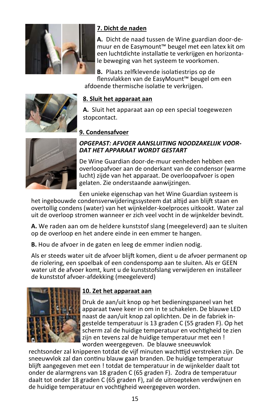

#### **7. Dicht de naden**

**A.** Dicht de naad tussen de Wine guardian door-demuur en de Easymount™ beugel met een latex kit om een luchtdichte installatie te verkrijgen en horizontale beweging van het systeem te voorkomen.

**B.** Plaats zelfklevende isolatiestrips op de flensvlakken van de EasyMount™ beugel om een afdoende thermische isolatie te verkrijgen.



#### **8. Sluit het apparaat aan**

**A.** Sluit het apparaat aan op een special toegewezen stopcontact.

#### **9. Condensafvoer**



#### *OPGEPAST: AFVOER AANSLUITING NOODZAKELIJK VOOR-DAT HET APPARAAT WORDT GESTART*

De Wine Guardian door-de-muur eenheden hebben een overloopafvoer aan de onderkant van de condensor (warme lucht) zijde van het apparaat. De overloopafvoer is open gelaten. Zie onderstaande aanwijzingen.

Een unieke eigenschap van het Wine Guardian systeem is

het ingebouwde condensverwijderingssysteem dat altijd aan blijft staan en overtollig condens (water) van het wijnkelder-koelproces uitkookt. Water zal uit de overloop stromen wanneer er zich veel vocht in de wijnkelder bevindt.

**A.** We raden aan om de heldere kunststof slang (meegeleverd) aan te sluiten op de overloop en het andere einde in een emmer te hangen.

**B.** Hou de afvoer in de gaten en leeg de emmer indien nodig.

Als er steeds water uit de afvoer blijft komen, dient u de afvoer permanent op de riolering, een spoelbak of een condenspomp aan te sluiten. Als er GEEN water uit de afvoer komt, kunt u de kunststofslang verwijderen en installeer de kunststof afvoer-afdekking (meegeleverd)



#### **10. Zet het apparaat aan**

Druk de aan/uit knop op het bedieningspaneel van het apparaat twee keer in om in te schakelen. De blauwe LED naast de aan/uit knop zal oplichten. De in de fabriek ingestelde temperatuur is 13 graden C (55 graden F). Op het scherm zal de huidige temperatuur en vochtigheid te zien zijn en tevens zal de huidige temperatuur met een ! worden weergegeven. De blauwe sneeuwvlok

rechtsonder zal knipperen totdat de vijf minuten wachttijd verstreken zijn. De sneeuwvlok zal dan continu blauw gaan branden. De huidige temperatuur blijft aangegeven met een ! totdat de temperatuur in de wijnkelder daalt tot onder de alarmgrens van 18 graden C (65 graden F). Zodra de temperatuur daalt tot onder 18 graden C (65 graden F), zal de uitroepteken verdwijnen en de huidige temperatuur en vochtigheid weergegeven worden.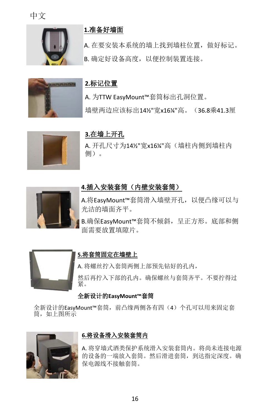中文





### **1.**准备好墙面

A. 在要安装本系统的墙上找到墙柱位置,做好标记。 B. 确定好设备高度,以便控制装置连接。

### **2.**标记位置

A. 为TTW EasyMount™套筒标出孔洞位置。 墙壁两边应该标出14½"宽x16¼"高。(36.8乘41.3厘



### **3.**在墙上开孔

A. 开孔尺寸为14½"宽x16¼"高(墙柱内侧到墙柱内 侧)。



#### **4.**插入安装套筒(内壁安装套筒)

A.将EasyMount™套筒滑入墙壁开孔,以便凸缘可以与 光洁的墙面齐平。

B.确保EasyMount™套筒不倾斜, 呈正方形。底部和侧 面需要放置填隙片。



#### **5.**将套筒固定在墙壁上

A. 将螺丝拧入套筒两侧上部预先钻好的孔内, 然后再拧入下部的孔内。确保螺丝与套筒齐平。不要拧得过 紧。

#### 全新设计的**EasyMount™**套筒

全新设计的EasyMount™套筒,前凸缘两侧各有四(4)个孔可以用来固定套 筒,如上图所示



#### **6.**将设备滑入安装套筒内

A. 将穿墙式酒类保护系统滑入安装套筒内。将尚未连接电源 的设备的一端放入套筒。然后滑进套筒,到达指定深度。确 保电源线不接触套筒。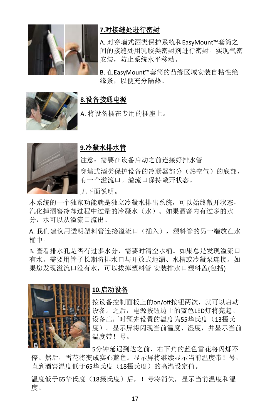

# **7.**对接缝处进行密封

A. 对穿墙式酒类保护系统和EasyMount™套筒之 间的接缝处用乳胶类密封剂进行密封。实现气密 安装,防止系统水平移动。

B. 在EasyMount™套筒的凸缘区域安装自粘性绝 缘条,以便充分隔热。



#### **8.**设备接通电源

A. 将设备插在专用的插座上。



#### **9.**冷凝水排水管

注意:需要在设备启动之前连接好排水管 穿墙式酒类保护设备的冷凝器部分(热空气)的底部, 有一个溢流口。溢流口保持敞开状态。

见下面说明。

本系统的一个独家功能就是独立冷凝水排出系统,可以始终敞开状态, 汽化掉酒窖冷却过程中过量的冷凝水(水)。如果酒窖内有过多的水 分,水可以从溢流口流出。

A. 我们建议用透明塑料管连接溢流口(插入),塑料管的另一端放在水 桶中。

B. 查看排水孔是否有过多水分,需要时清空水桶。如果总是发现溢流口 有水,需要用管子长期将排水口与开放式地漏、水槽或冷凝泵连接。如 果您发现溢流口没有水,可以拔掉塑料管 安装排水口塑料盖(包括)



#### **10.**启动设备

按设备控制面板上的on/off按钮两次,就可以启动 设备。之后,电源按钮边上的蓝色LED灯将亮起。 设备出厂时预先设置的温度为55华氏度(13摄氏 度)。显示屏将闪现当前温度、湿度,并显示当前 温度带!号。

5分钟延迟到达之前,右下角的蓝色雪花将闪烁不 停。然后,雪花将变成实心蓝色。显示屏将继续显示当前温度带!号, 直到酒窖温度低于65华氏度(18摄氏度)的高温设定值。

温度低于65华氏度(18摄氏度)后, !号将消失, 显示当前温度和湿 度。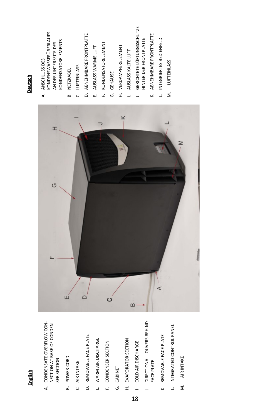| <b>Deutsch</b> |
|----------------|
|                |
|                |
|                |
|                |
|                |
|                |
|                |
|                |
|                |
|                |
|                |
|                |
|                |
|                |
|                |
|                |
|                |
|                |
| Englis.<br>ļ   |
|                |

- A. CONDENSATE OVERFLOW CON-A. CONDENSATE OVERFLOW CON-NECTION AT BASE OF CONDEN-NECTION AT BASE OF CONDEN-SER SECTION
- **B. POWER CORD** B. POWER CORD
- C. AIR INTAKE C. AIR INTAKE
- D. REMOVABLE FACE PLATE D. REMOVABLE FACE PLATE
- E. WARM AIR DISCHARGE E. WARM AIR DISCHARGE
- F. CONDENSER SECTION F. CONDENSER SECTION
- G. CABINET
- H. EVAPORATOR SECTION H. EVAPORATOR SECTION
- COLD AIR DISCHARGE I. COLD AIR DISCHARGE

18

- J. DIRECTIONAL LOUVERS BEHIND DIRECTIONAL LOUVERS BEHIND FACE PLATE  $\overline{a}$
- REMOVABLE FACE PLATE K. REMOVABLE FACE PLATE .<br>پ
- L. INTEGRATED CONTROL PANEL L. INTEGRATED CONTROL PANEL
- M. AIR INTAKE M. AIR INTAKE



# Deutsch

- KONDENSWASSERÜBERLAUFS KONDENSWASSERÜBERLAUFS **KONDENSATORELEMENTS** KONDENSATORELEMENTS AN DER UNTERSEITE DES AN DER UNTERSEITE DES A. ANSCHLUSS DES A. ANSCHLUSS DES
- B. NETZKABEL B. NETZKABEL
- C. LUFTEINLASS C. LUFTEINLASS
- D. ABNEHMBARE FRONTPLATTE D. ABNEHMBARE FRONTPLATTE
- E. AUSLASS WARME LUFT E. AUSLASS WARME LUFT
- F. KONDENSATORELEMENT F. KONDENSATORELEMENT
- G. GEHÄUSE
- H. VERDAMPFERELEMENT
	- H. VERDAMPFERELEMENT I. AUSLASS KALTE LUFT I. AUSLASS KALTE LUFT
- GERICHTETE LÜFTUNGSSCHLITZE J. GERICHTETE LÜFTUNGSSCHLITZE HINTER DER FRONTPLATTE HINTER DER FRONTPLATTE  $\overline{a}$
- K. ABNEHMBARE FRONTPLATTE K. ABNEHMBARE FRONTPLATTE
- L. INTEGRIERTES BEDIENFELD L. INTEGRIERTES BEDIENFELD
- **LUFTEINLASS** M. LUFTEINLASS  $\dot{\Sigma}$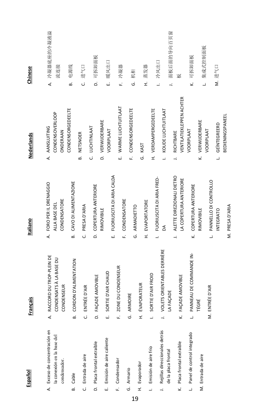| Español                                                                     | Français                                                   | Italiano                                                              | <b>Nederlands</b>                                              | Chinese                          |
|-----------------------------------------------------------------------------|------------------------------------------------------------|-----------------------------------------------------------------------|----------------------------------------------------------------|----------------------------------|
| A. Exceso de concentración en<br>la conexión en la base del<br>condensador. | A. RACCORD DU TROP-PLEIN DE<br>CONDENSATS À LA BASE DU     | A. FORO PER IL DRENAGGIO<br>CONDENSATORE<br>ALLA BASE DEL             | CONDENSOVERLOOP<br>A. AANSLUITING<br>ONDERAAN                  | 冷凝器底座的冷凝液溢<br>流连接<br>₹           |
| Cable                                                                       | CORDON D'ALIMENTATION<br>CONDENSEUR<br>்                   | CAVO DI ALIMENTAZIONE<br>ക്                                           | <b>CONDENSORGEDEELTE</b>                                       | 电源线<br>ക്                        |
| C. Entrada de aire                                                          | ENTRÉE D'AIR<br>ن                                          | PRESA D'ARIA<br>ن                                                     | NETSNOER<br>ക്                                                 | 进气口<br>ن                         |
| D. Placa frontal extraíble                                                  | D. FAÇADE AMOVIBLE                                         | COPERTURA ANTERIORE<br>۵                                              | C. LUCHTINLAAT                                                 | 可拆卸面板<br>$\vec{0}$               |
| E. Emisión de aire caliente                                                 | SORTIE D'AIR CHAUD<br>ωi                                   | FUORIUSCITA DI ARIA CALDA<br>RIMOVIBILE<br>ن<br>س                     | D. VERWIJDERBARE<br>VOORPLAAT                                  | 暖风出口<br>μj                       |
| F. Condensador                                                              | ZONE DU CONDENSEUR<br>Ľ.                                   | CONDENSATORE<br>ن<br>سا                                               | E. WARME LUCHTUITLAAT                                          | 冷凝器<br>Ē.                        |
| G. Armario                                                                  | G. ARMOIRE                                                 | ARMADIETTO<br>.<br>ق                                                  | CONDENSORGEDEELTE<br>ن<br>سا                                   | 机柜<br>Ġ                          |
| H. Evaporador                                                               | H. ÉVAPORATEUR                                             | EVAPORTATORE<br>£                                                     | KAST<br>ق                                                      | 蒸发器<br>£                         |
| Emisión de aire frío                                                        | SORTIE D'AIR FROID<br>$\overline{a}$                       | FUORIUSCITA DI ARIA FRED-<br>$\overline{a}$                           | H. VERDAMPERGEDEELTE                                           | 冷风出口<br>$\overline{\phantom{a}}$ |
| Rejillas direccionales detrás<br>de la placa frontal                        | VOLETS ORIENTABLES DERRIÈRE<br>LA FAÇADE<br>$\overline{a}$ | Á                                                                     | KOUDE LUCHTUITLAAT<br>$\overline{a}$                           | 面板后面的导向百页窗<br>$\overline{a}$     |
| K. Placa frontal extraíble                                                  | K. FAÇADE AMOVIBLE                                         | ALETTE DIREZIONALI DIETRO<br>LA COPERTURA ANTERIORE<br>$\overline{a}$ | <b>VENTILATIEKLEPPEN ACHTER</b><br>RICHTBARE<br>$\overline{a}$ | 板                                |
| Panel de control integrado                                                  | PANNEAU DE COMMANDE IN-<br><u>.</u>                        | COPERTURA ANTERIORE<br>.<br>پ                                         | VOORPLAAT                                                      | 可拆卸面板<br>ż                       |
| M. Entrada de aire                                                          | TÉGRÉ                                                      | RIMOVIBILE                                                            | K. VERWIJDERBARE                                               | 集成式控制面板<br>Ľ                     |
|                                                                             | M. ENTRÉE D'AIR                                            | PANNELLO DI CONTROLLO<br>L                                            | VOORPLAAT                                                      |                                  |
|                                                                             |                                                            | INTEGRATO                                                             | GEÏNTEGREERD<br>$\overline{\phantom{a}}$                       | M. 进气口                           |
|                                                                             |                                                            | M. PRESA D'ARIA                                                       | BEDIENINGSPANEEL                                               |                                  |

M. PRESA D'ARIA

19